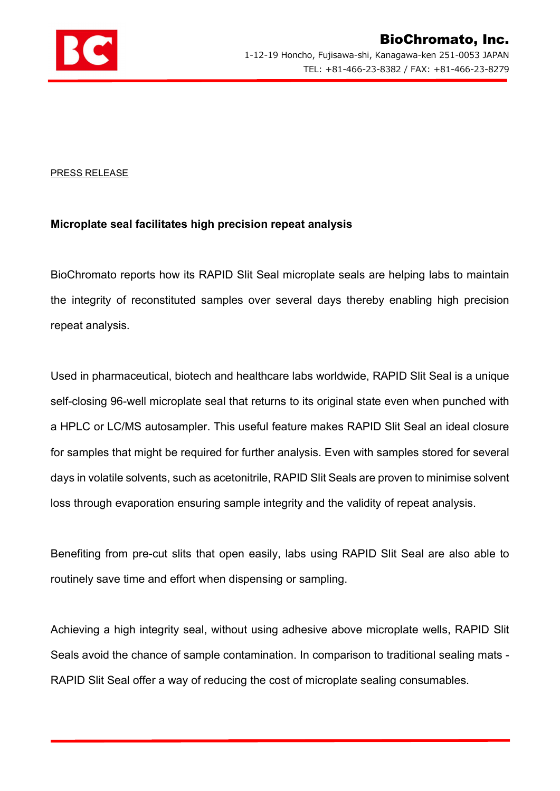

## PRESS RELEASE

## Microplate seal facilitates high precision repeat analysis

BioChromato reports how its RAPID Slit Seal microplate seals are helping labs to maintain the integrity of reconstituted samples over several days thereby enabling high precision repeat analysis.

Used in pharmaceutical, biotech and healthcare labs worldwide, RAPID Slit Seal is a unique self-closing 96-well microplate seal that returns to its original state even when punched with a HPLC or LC/MS autosampler. This useful feature makes RAPID Slit Seal an ideal closure for samples that might be required for further analysis. Even with samples stored for several days in volatile solvents, such as acetonitrile, RAPID Slit Seals are proven to minimise solvent loss through evaporation ensuring sample integrity and the validity of repeat analysis.

Benefiting from pre-cut slits that open easily, labs using RAPID Slit Seal are also able to routinely save time and effort when dispensing or sampling.

Achieving a high integrity seal, without using adhesive above microplate wells, RAPID Slit Seals avoid the chance of sample contamination. In comparison to traditional sealing mats - RAPID Slit Seal offer a way of reducing the cost of microplate sealing consumables.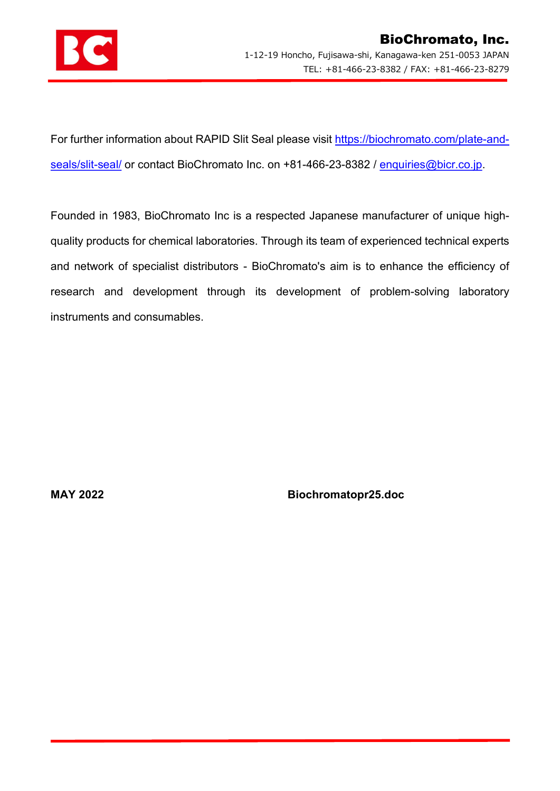

For further information about RAPID Slit Seal please visit https://biochromato.com/plate-andseals/slit-seal/ or contact BioChromato Inc. on +81-466-23-8382 / enquiries@bicr.co.jp.

Founded in 1983, BioChromato Inc is a respected Japanese manufacturer of unique highquality products for chemical laboratories. Through its team of experienced technical experts and network of specialist distributors - BioChromato's aim is to enhance the efficiency of research and development through its development of problem-solving laboratory instruments and consumables.

MAY 2022 Biochromatopr25.doc